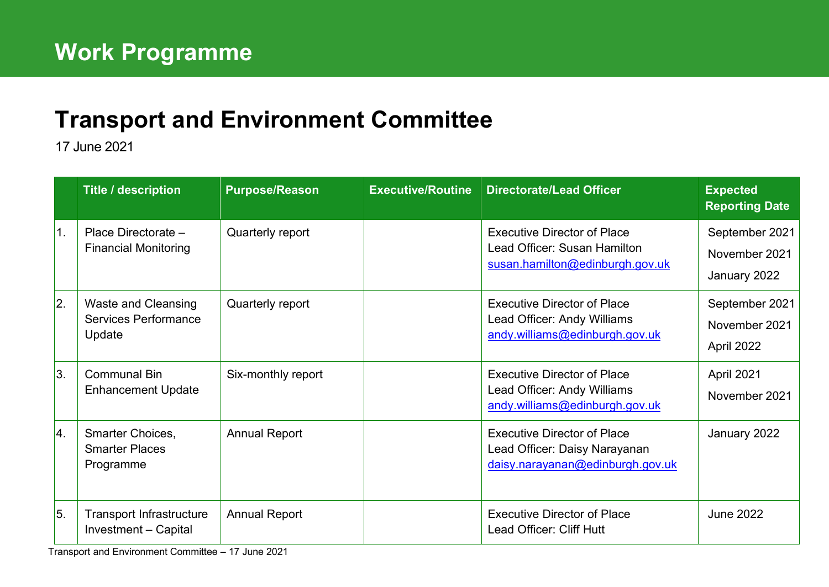## **[Transport and Environment](mailto:john.bury@edinburgh.gov.uk) Committee**

17 June 2021

|    | <b>Title / description</b>                                   | <b>Purpose/Reason</b> | <b>Executive/Routine</b> | <b>Directorate/Lead Officer</b>                                                                         | <b>Expected</b><br><b>Reporting Date</b>        |
|----|--------------------------------------------------------------|-----------------------|--------------------------|---------------------------------------------------------------------------------------------------------|-------------------------------------------------|
| 1. | Place Directorate -<br><b>Financial Monitoring</b>           | Quarterly report      |                          | <b>Executive Director of Place</b><br>Lead Officer: Susan Hamilton<br>susan.hamilton@edinburgh.gov.uk   | September 2021<br>November 2021<br>January 2022 |
| 2. | <b>Waste and Cleansing</b><br>Services Performance<br>Update | Quarterly report      |                          | <b>Executive Director of Place</b><br>Lead Officer: Andy Williams<br>andy.williams@edinburgh.gov.uk     | September 2021<br>November 2021<br>April 2022   |
| 3. | <b>Communal Bin</b><br><b>Enhancement Update</b>             | Six-monthly report    |                          | <b>Executive Director of Place</b><br>Lead Officer: Andy Williams<br>andy.williams@edinburgh.gov.uk     | April 2021<br>November 2021                     |
| 4. | Smarter Choices,<br><b>Smarter Places</b><br>Programme       | <b>Annual Report</b>  |                          | <b>Executive Director of Place</b><br>Lead Officer: Daisy Narayanan<br>daisy.narayanan@edinburgh.gov.uk | January 2022                                    |
| 5. | <b>Transport Infrastructure</b><br>Investment - Capital      | <b>Annual Report</b>  |                          | <b>Executive Director of Place</b><br>Lead Officer: Cliff Hutt                                          | <b>June 2022</b>                                |

Transport and Environment Committee – 17 June 2021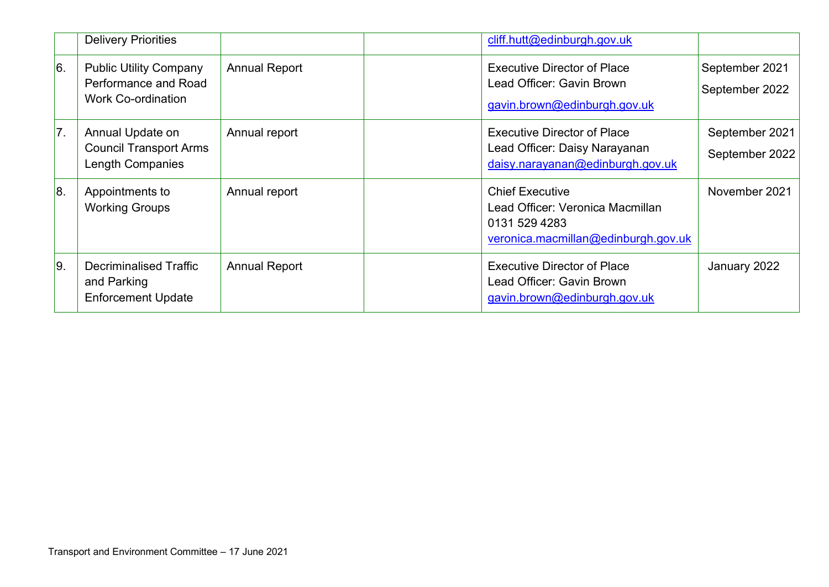|     | <b>Delivery Priorities</b>                                                         |                      | cliff.hutt@edinburgh.gov.uk                                                                                        |                                  |
|-----|------------------------------------------------------------------------------------|----------------------|--------------------------------------------------------------------------------------------------------------------|----------------------------------|
| 6.  | <b>Public Utility Company</b><br>Performance and Road<br><b>Work Co-ordination</b> | <b>Annual Report</b> | <b>Executive Director of Place</b><br>Lead Officer: Gavin Brown<br>gavin.brown@edinburgh.gov.uk                    | September 2021<br>September 2022 |
| 7.  | Annual Update on<br><b>Council Transport Arms</b><br><b>Length Companies</b>       | Annual report        | <b>Executive Director of Place</b><br>Lead Officer: Daisy Narayanan<br>daisy.narayanan@edinburgh.gov.uk            | September 2021<br>September 2022 |
| 8.  | Appointments to<br><b>Working Groups</b>                                           | Annual report        | <b>Chief Executive</b><br>Lead Officer: Veronica Macmillan<br>0131 529 4283<br>veronica.macmillan@edinburgh.gov.uk | November 2021                    |
| 19. | Decriminalised Traffic<br>and Parking<br><b>Enforcement Update</b>                 | <b>Annual Report</b> | <b>Executive Director of Place</b><br>Lead Officer: Gavin Brown<br>gavin.brown@edinburgh.gov.uk                    | January 2022                     |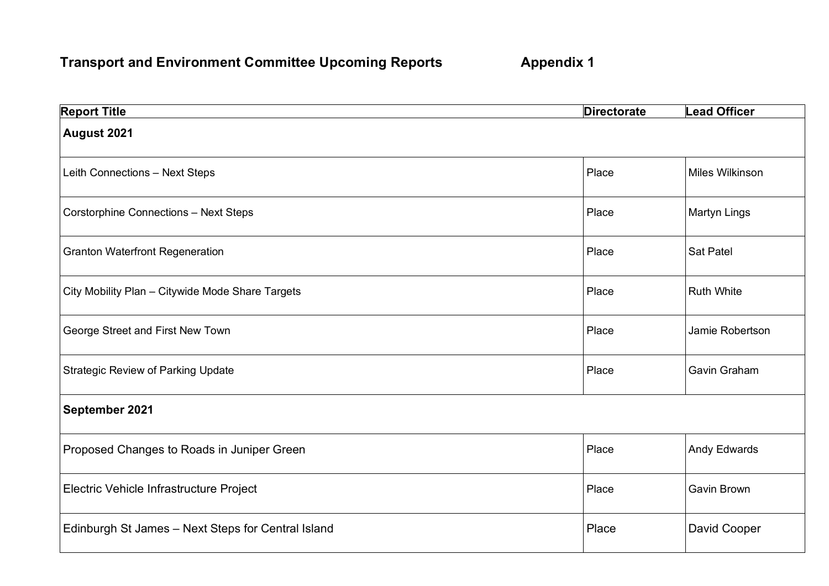## **Transport and Environment Committee Upcoming Reports Appendix 1**

| <b>Report Title</b>                                | <b>Directorate</b> | <b>Lead Officer</b> |
|----------------------------------------------------|--------------------|---------------------|
| August 2021                                        |                    |                     |
| Leith Connections - Next Steps                     | Place              | Miles Wilkinson     |
| <b>Corstorphine Connections - Next Steps</b>       | Place              | <b>Martyn Lings</b> |
| <b>Granton Waterfront Regeneration</b>             | Place              | <b>Sat Patel</b>    |
| City Mobility Plan - Citywide Mode Share Targets   | Place              | <b>Ruth White</b>   |
| George Street and First New Town                   | Place              | Jamie Robertson     |
| <b>Strategic Review of Parking Update</b>          | Place              | <b>Gavin Graham</b> |
| September 2021                                     |                    |                     |
| Proposed Changes to Roads in Juniper Green         | Place              | <b>Andy Edwards</b> |
| Electric Vehicle Infrastructure Project            | Place              | <b>Gavin Brown</b>  |
| Edinburgh St James - Next Steps for Central Island | Place              | David Cooper        |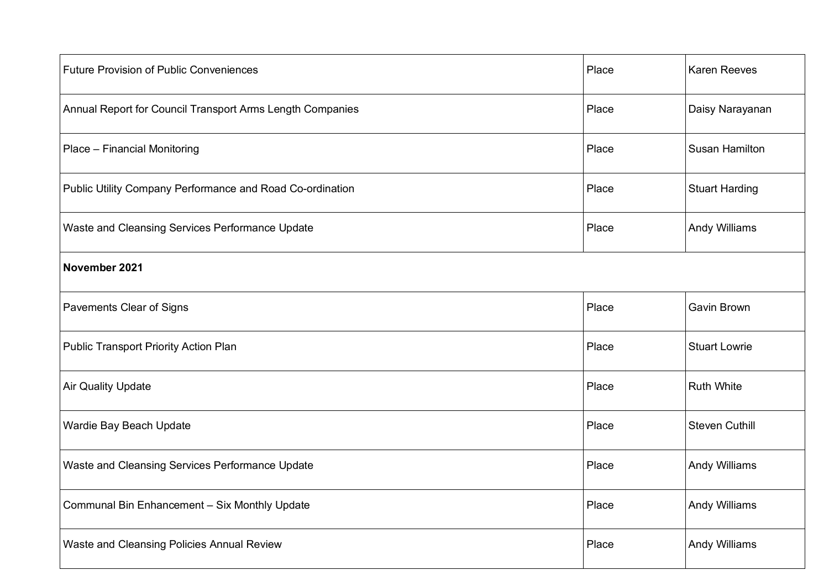| <b>Future Provision of Public Conveniences</b>            | Place | <b>Karen Reeves</b>   |  |  |
|-----------------------------------------------------------|-------|-----------------------|--|--|
| Annual Report for Council Transport Arms Length Companies | Place | Daisy Narayanan       |  |  |
| Place - Financial Monitoring                              | Place | <b>Susan Hamilton</b> |  |  |
| Public Utility Company Performance and Road Co-ordination | Place | <b>Stuart Harding</b> |  |  |
| Waste and Cleansing Services Performance Update           | Place | <b>Andy Williams</b>  |  |  |
| November 2021                                             |       |                       |  |  |
| Pavements Clear of Signs                                  | Place | <b>Gavin Brown</b>    |  |  |
| <b>Public Transport Priority Action Plan</b>              | Place | <b>Stuart Lowrie</b>  |  |  |
| <b>Air Quality Update</b>                                 | Place | <b>Ruth White</b>     |  |  |
| Wardie Bay Beach Update                                   | Place | <b>Steven Cuthill</b> |  |  |
| Waste and Cleansing Services Performance Update           | Place | <b>Andy Williams</b>  |  |  |
| Communal Bin Enhancement - Six Monthly Update             | Place | <b>Andy Williams</b>  |  |  |
| Waste and Cleansing Policies Annual Review                | Place | <b>Andy Williams</b>  |  |  |